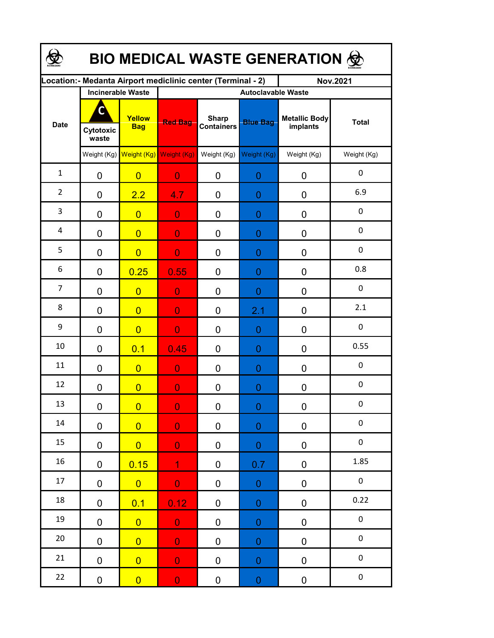| BIO MEDICAL WASTE GENERATION & |                          |                                     |                                                             |                                   |                  |                                  |                  |  |  |  |  |
|--------------------------------|--------------------------|-------------------------------------|-------------------------------------------------------------|-----------------------------------|------------------|----------------------------------|------------------|--|--|--|--|
|                                |                          |                                     | Location:- Medanta Airport mediclinic center (Terminal - 2) |                                   |                  | <b>Nov.2021</b>                  |                  |  |  |  |  |
|                                | <b>Incinerable Waste</b> |                                     | <b>Autoclavable Waste</b>                                   |                                   |                  |                                  |                  |  |  |  |  |
| <b>Date</b>                    | Cytotoxic<br>waste       | Yellow<br><b>Bag</b>                | <b>Red Bag</b>                                              | <b>Sharp</b><br><b>Containers</b> | <b>Blue Bag</b>  | <b>Metallic Body</b><br>implants | <b>Total</b>     |  |  |  |  |
|                                |                          | Weight (Kg) Weight (Kg) Weight (Kg) |                                                             | Weight (Kg)                       | Weight (Kg)      | Weight (Kg)                      | Weight (Kg)      |  |  |  |  |
| $\mathbf{1}$                   | $\mathbf 0$              | $\overline{0}$                      | $\overline{0}$                                              | 0                                 | $\overline{0}$   | 0                                | $\boldsymbol{0}$ |  |  |  |  |
| $\overline{2}$                 | $\mathbf 0$              | 2.2                                 | 4.7                                                         | 0                                 | $\overline{0}$   | 0                                | 6.9              |  |  |  |  |
| 3                              | $\mathbf 0$              | $\overline{0}$                      | $\overline{0}$                                              | 0                                 | $\overline{0}$   | 0                                | $\boldsymbol{0}$ |  |  |  |  |
| 4                              | $\mathbf 0$              | $\overline{0}$                      | $\overline{0}$                                              | 0                                 | $\overline{0}$   | 0                                | $\boldsymbol{0}$ |  |  |  |  |
| 5                              | 0                        | $\overline{0}$                      | $\overline{0}$                                              | 0                                 | $\overline{0}$   | 0                                | $\boldsymbol{0}$ |  |  |  |  |
| 6                              | 0                        | 0.25                                | 0.55                                                        | 0                                 | $\overline{0}$   | $\mathbf 0$                      | 0.8              |  |  |  |  |
| $\overline{7}$                 | 0                        | $\overline{0}$                      | $\overline{0}$                                              | 0                                 | $\overline{0}$   | $\mathbf 0$                      | $\boldsymbol{0}$ |  |  |  |  |
| 8                              | $\mathbf 0$              | $\overline{0}$                      | $\overline{0}$                                              | 0                                 | 2.1              | 0                                | 2.1              |  |  |  |  |
| 9                              | 0                        | $\overline{0}$                      | $\overline{0}$                                              | 0                                 | $\mathbf{0}$     | $\mathbf 0$                      | $\boldsymbol{0}$ |  |  |  |  |
| 10                             | 0                        | 0.1                                 | 0.45                                                        | 0                                 | $\overline{0}$   | $\mathbf 0$                      | 0.55             |  |  |  |  |
| 11                             | 0                        | $\overline{0}$                      | $\overline{0}$                                              | $\overline{0}$                    | $\overline{0}$   | $\mathbf 0$                      | 0                |  |  |  |  |
| 12                             | 0                        | $\overline{0}$                      | $\overline{0}$                                              | 0                                 | $\overline{0}$   | 0                                | $\boldsymbol{0}$ |  |  |  |  |
| 13                             | $\mathbf 0$              | $\overline{0}$                      | $\mathbf{0}$                                                | $\pmb{0}$                         | $\boldsymbol{0}$ | $\pmb{0}$                        | $\mathbf 0$      |  |  |  |  |
| 14                             | $\pmb{0}$                | $\overline{0}$                      | $\mathbf 0$                                                 | $\pmb{0}$                         | $\pmb{0}$        | $\pmb{0}$                        | $\pmb{0}$        |  |  |  |  |
| 15                             | $\mathbf 0$              | $\overline{0}$                      | $\mathbf 0$                                                 | $\pmb{0}$                         | $\pmb{0}$        | $\pmb{0}$                        | $\pmb{0}$        |  |  |  |  |
| 16                             | $\pmb{0}$                | 0.15                                | $\overline{1}$                                              | $\pmb{0}$                         | 0.7              | $\pmb{0}$                        | 1.85             |  |  |  |  |
| 17                             | $\pmb{0}$                | $\overline{0}$                      | $\overline{0}$                                              | $\pmb{0}$                         | $\boldsymbol{0}$ | $\pmb{0}$                        | $\pmb{0}$        |  |  |  |  |
| 18                             | $\pmb{0}$                | 0.1                                 | 0.12                                                        | $\pmb{0}$                         | $\boldsymbol{0}$ | $\pmb{0}$                        | 0.22             |  |  |  |  |
| 19                             | 0                        | $\overline{0}$                      | $\mathbf{0}$                                                | $\pmb{0}$                         | $\pmb{0}$        | $\pmb{0}$                        | $\pmb{0}$        |  |  |  |  |
| 20                             | $\pmb{0}$                | $\overline{0}$                      | $\mathbf{0}$                                                | $\pmb{0}$                         | $\pmb{0}$        | $\pmb{0}$                        | $\pmb{0}$        |  |  |  |  |
| 21                             | $\pmb{0}$                | $\overline{0}$                      | $\overline{0}$                                              | $\pmb{0}$                         | $\pmb{0}$        | $\pmb{0}$                        | $\pmb{0}$        |  |  |  |  |
| 22                             | $\pmb{0}$                | $\overline{0}$                      | $\mathbf 0$                                                 | $\pmb{0}$                         | $\pmb{0}$        | $\pmb{0}$                        | $\pmb{0}$        |  |  |  |  |